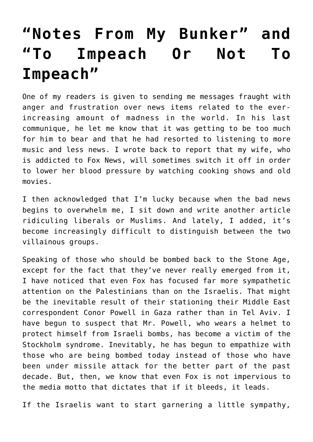## **["Notes From My Bunker" and](https://bernardgoldberg.com/template-42/) ["To Impeach Or Not To](https://bernardgoldberg.com/template-42/) [Impeach"](https://bernardgoldberg.com/template-42/)**

One of my readers is given to sending me messages fraught with anger and frustration over news items related to the everincreasing amount of madness in the world. In his last communique, he let me know that it was getting to be too much for him to bear and that he had resorted to listening to more music and less news. I wrote back to report that my wife, who is addicted to Fox News, will sometimes switch it off in order to lower her blood pressure by watching cooking shows and old movies.

I then acknowledged that I'm lucky because when the bad news begins to overwhelm me, I sit down and write another article ridiculing liberals or Muslims. And lately, I added, it's become increasingly difficult to distinguish between the two villainous groups.

Speaking of those who should be bombed back to the Stone Age, except for the fact that they've never really emerged from it, I have noticed that even Fox has focused far more sympathetic attention on the Palestinians than on the Israelis. That might be the inevitable result of their stationing their Middle East correspondent Conor Powell in Gaza rather than in Tel Aviv. I have begun to suspect that Mr. Powell, who wears a helmet to protect himself from Israeli bombs, has become a victim of the Stockholm syndrome. Inevitably, he has begun to empathize with those who are being bombed today instead of those who have been under missile attack for the better part of the past decade. But, then, we know that even Fox is not impervious to the media motto that dictates that if it bleeds, it leads.

If the Israelis want to start garnering a little sympathy,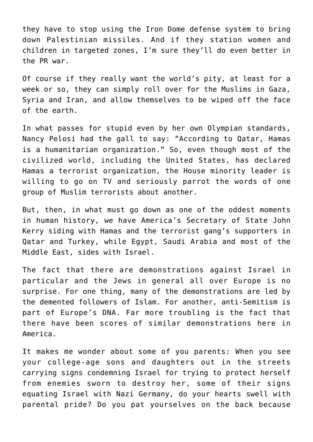they have to stop using the Iron Dome defense system to bring down Palestinian missiles. And if they station women and children in targeted zones, I'm sure they'll do even better in the PR war.

Of course if they really want the world's pity, at least for a week or so, they can simply roll over for the Muslims in Gaza, Syria and Iran, and allow themselves to be wiped off the face of the earth.

In what passes for stupid even by her own Olympian standards, Nancy Pelosi had the gall to say: "According to Qatar, Hamas is a humanitarian organization." So, even though most of the civilized world, including the United States, has declared Hamas a terrorist organization, the House minority leader is willing to go on TV and seriously parrot the words of one group of Muslim terrorists about another.

But, then, in what must go down as one of the oddest moments in human history, we have America's Secretary of State John Kerry siding with Hamas and the terrorist gang's supporters in Qatar and Turkey, while Egypt, Saudi Arabia and most of the Middle East, sides with Israel.

The fact that there are demonstrations against Israel in particular and the Jews in general all over Europe is no surprise. For one thing, many of the demonstrations are led by the demented followers of Islam. For another, anti-Semitism is part of Europe's DNA. Far more troubling is the fact that there have been scores of similar demonstrations here in America.

It makes me wonder about some of you parents: When you see your college-age sons and daughters out in the streets carrying signs condemning Israel for trying to protect herself from enemies sworn to destroy her, some of their signs equating Israel with Nazi Germany, do your hearts swell with parental pride? Do you pat yourselves on the back because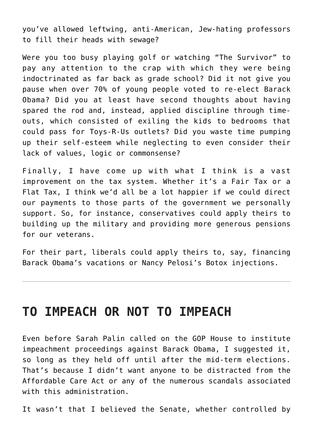you've allowed leftwing, anti-American, Jew-hating professors to fill their heads with sewage?

Were you too busy playing golf or watching "The Survivor" to pay any attention to the crap with which they were being indoctrinated as far back as grade school? Did it not give you pause when over 70% of young people voted to re-elect Barack Obama? Did you at least have second thoughts about having spared the rod and, instead, applied discipline through timeouts, which consisted of exiling the kids to bedrooms that could pass for Toys-R-Us outlets? Did you waste time pumping up their self-esteem while neglecting to even consider their lack of values, logic or commonsense?

Finally, I have come up with what I think is a vast improvement on the tax system. Whether it's a Fair Tax or a Flat Tax, I think we'd all be a lot happier if we could direct our payments to those parts of the government we personally support. So, for instance, conservatives could apply theirs to building up the military and providing more generous pensions for our veterans.

For their part, liberals could apply theirs to, say, financing Barack Obama's vacations or Nancy Pelosi's Botox injections.

## **TO IMPEACH OR NOT TO IMPEACH**

Even before Sarah Palin called on the GOP House to institute impeachment proceedings against Barack Obama, I suggested it, so long as they held off until after the mid-term elections. That's because I didn't want anyone to be distracted from the Affordable Care Act or any of the numerous scandals associated with this administration.

It wasn't that I believed the Senate, whether controlled by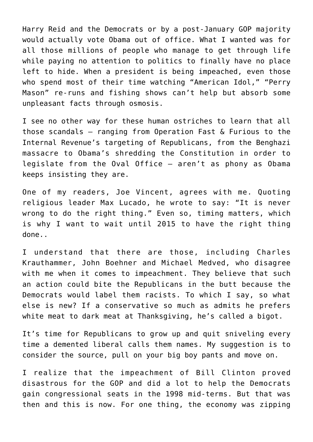Harry Reid and the Democrats or by a post-January GOP majority would actually vote Obama out of office. What I wanted was for all those millions of people who manage to get through life while paying no attention to politics to finally have no place left to hide. When a president is being impeached, even those who spend most of their time watching "American Idol," "Perry Mason" re-runs and fishing shows can't help but absorb some unpleasant facts through osmosis.

I see no other way for these human ostriches to learn that all those scandals – ranging from Operation Fast & Furious to the Internal Revenue's targeting of Republicans, from the Benghazi massacre to Obama's shredding the Constitution in order to legislate from the Oval Office – aren't as phony as Obama keeps insisting they are.

One of my readers, Joe Vincent, agrees with me. Quoting religious leader Max Lucado, he wrote to say: "It is never wrong to do the right thing." Even so, timing matters, which is why I want to wait until 2015 to have the right thing done..

I understand that there are those, including Charles Krauthammer, John Boehner and Michael Medved, who disagree with me when it comes to impeachment. They believe that such an action could bite the Republicans in the butt because the Democrats would label them racists. To which I say, so what else is new? If a conservative so much as admits he prefers white meat to dark meat at Thanksgiving, he's called a bigot.

It's time for Republicans to grow up and quit sniveling every time a demented liberal calls them names. My suggestion is to consider the source, pull on your big boy pants and move on.

I realize that the impeachment of Bill Clinton proved disastrous for the GOP and did a lot to help the Democrats gain congressional seats in the 1998 mid-terms. But that was then and this is now. For one thing, the economy was zipping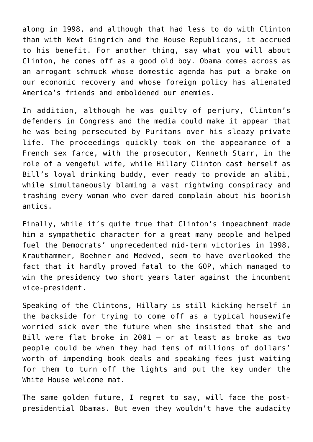along in 1998, and although that had less to do with Clinton than with Newt Gingrich and the House Republicans, it accrued to his benefit. For another thing, say what you will about Clinton, he comes off as a good old boy. Obama comes across as an arrogant schmuck whose domestic agenda has put a brake on our economic recovery and whose foreign policy has alienated America's friends and emboldened our enemies.

In addition, although he was guilty of perjury, Clinton's defenders in Congress and the media could make it appear that he was being persecuted by Puritans over his sleazy private life. The proceedings quickly took on the appearance of a French sex farce, with the prosecutor, Kenneth Starr, in the role of a vengeful wife, while Hillary Clinton cast herself as Bill's loyal drinking buddy, ever ready to provide an alibi, while simultaneously blaming a vast rightwing conspiracy and trashing every woman who ever dared complain about his boorish antics.

Finally, while it's quite true that Clinton's impeachment made him a sympathetic character for a great many people and helped fuel the Democrats' unprecedented mid-term victories in 1998, Krauthammer, Boehner and Medved, seem to have overlooked the fact that it hardly proved fatal to the GOP, which managed to win the presidency two short years later against the incumbent vice-president.

Speaking of the Clintons, Hillary is still kicking herself in the backside for trying to come off as a typical housewife worried sick over the future when she insisted that she and Bill were flat broke in 2001 – or at least as broke as two people could be when they had tens of millions of dollars' worth of impending book deals and speaking fees just waiting for them to turn off the lights and put the key under the White House welcome mat.

The same golden future, I regret to say, will face the postpresidential Obamas. But even they wouldn't have the audacity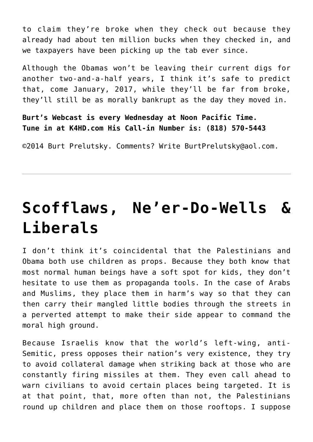to claim they're broke when they check out because they already had about ten million bucks when they checked in, and we taxpayers have been picking up the tab ever since.

Although the Obamas won't be leaving their current digs for another two-and-a-half years, I think it's safe to predict that, come January, 2017, while they'll be far from broke, they'll still be as morally bankrupt as the day they moved in.

**Burt's Webcast is every Wednesday at Noon Pacific Time. Tune in at K4HD.com His Call-in Number is: (818) 570-5443**

©2014 [Burt Prelutsky](mailto:BurtPrelutsky@aol.com/). Comments? Write [BurtPrelutsky@aol.com](mailto:BurtPrelutsky@aol.com/).

## **[Scofflaws, Ne'er-Do-Wells &](https://bernardgoldberg.com/template-29/) [Liberals](https://bernardgoldberg.com/template-29/)**

I don't think it's coincidental that the Palestinians and Obama both use children as props. Because they both know that most normal human beings have a soft spot for kids, they don't hesitate to use them as propaganda tools. In the case of Arabs and Muslims, they place them in harm's way so that they can then carry their mangled little bodies through the streets in a perverted attempt to make their side appear to command the moral high ground.

Because Israelis know that the world's left-wing, anti-Semitic, press opposes their nation's very existence, they try to avoid collateral damage when striking back at those who are constantly firing missiles at them. They even call ahead to warn civilians to avoid certain places being targeted. It is at that point, that, more often than not, the Palestinians round up children and place them on those rooftops. I suppose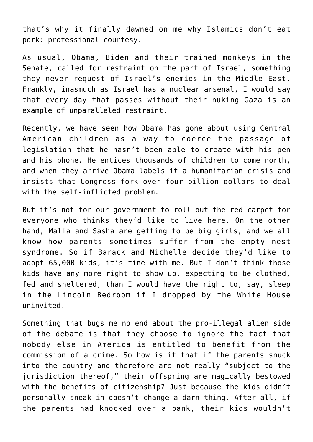that's why it finally dawned on me why Islamics don't eat pork: professional courtesy.

As usual, Obama, Biden and their trained monkeys in the Senate, called for restraint on the part of Israel, something they never request of Israel's enemies in the Middle East. Frankly, inasmuch as Israel has a nuclear arsenal, I would say that every day that passes without their nuking Gaza is an example of unparalleled restraint.

Recently, we have seen how Obama has gone about using Central American children as a way to coerce the passage of legislation that he hasn't been able to create with his pen and his phone. He entices thousands of children to come north, and when they arrive Obama labels it a humanitarian crisis and insists that Congress fork over four billion dollars to deal with the self-inflicted problem.

But it's not for our government to roll out the red carpet for everyone who thinks they'd like to live here. On the other hand, Malia and Sasha are getting to be big girls, and we all know how parents sometimes suffer from the empty nest syndrome. So if Barack and Michelle decide they'd like to adopt 65,000 kids, it's fine with me. But I don't think those kids have any more right to show up, expecting to be clothed, fed and sheltered, than I would have the right to, say, sleep in the Lincoln Bedroom if I dropped by the White House uninvited.

Something that bugs me no end about the pro-illegal alien side of the debate is that they choose to ignore the fact that nobody else in America is entitled to benefit from the commission of a crime. So how is it that if the parents snuck into the country and therefore are not really "subject to the jurisdiction thereof," their offspring are magically bestowed with the benefits of citizenship? Just because the kids didn't personally sneak in doesn't change a darn thing. After all, if the parents had knocked over a bank, their kids wouldn't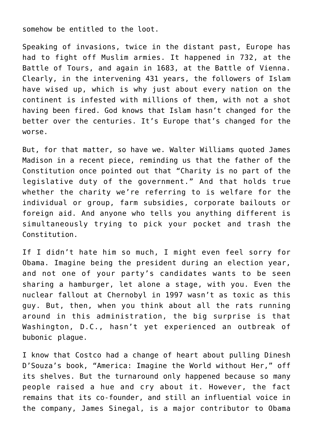somehow be entitled to the loot.

Speaking of invasions, twice in the distant past, Europe has had to fight off Muslim armies. It happened in 732, at the Battle of Tours, and again in 1683, at the Battle of Vienna. Clearly, in the intervening 431 years, the followers of Islam have wised up, which is why just about every nation on the continent is infested with millions of them, with not a shot having been fired. God knows that Islam hasn't changed for the better over the centuries. It's Europe that's changed for the worse.

But, for that matter, so have we. Walter Williams quoted James Madison in a recent piece, reminding us that the father of the Constitution once pointed out that "Charity is no part of the legislative duty of the government." And that holds true whether the charity we're referring to is welfare for the individual or group, farm subsidies, corporate bailouts or foreign aid. And anyone who tells you anything different is simultaneously trying to pick your pocket and trash the Constitution.

If I didn't hate him so much, I might even feel sorry for Obama. Imagine being the president during an election year, and not one of your party's candidates wants to be seen sharing a hamburger, let alone a stage, with you. Even the nuclear fallout at Chernobyl in 1997 wasn't as toxic as this guy. But, then, when you think about all the rats running around in this administration, the big surprise is that Washington, D.C., hasn't yet experienced an outbreak of bubonic plague.

I know that Costco had a change of heart about pulling Dinesh D'Souza's book, "America: Imagine the World without Her," off its shelves. But the turnaround only happened because so many people raised a hue and cry about it. However, the fact remains that its co-founder, and still an influential voice in the company, James Sinegal, is a major contributor to Obama